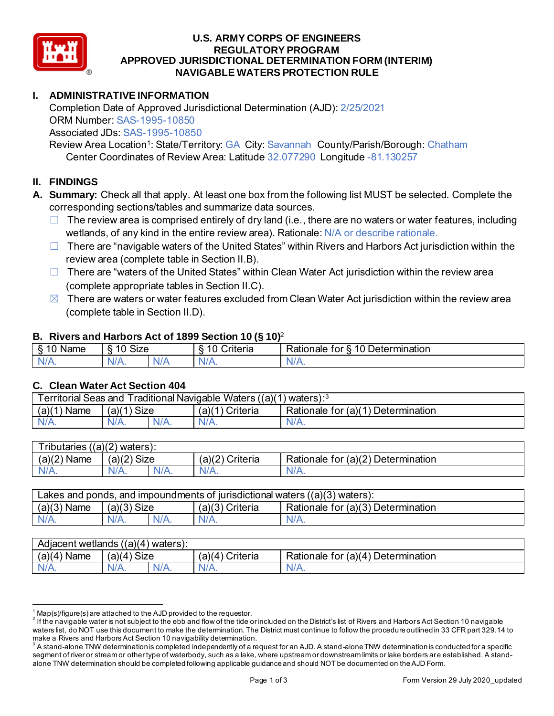

### **U.S. ARMY CORPS OF ENGINEERS REGULATORY PROGRAM APPROVED JURISDICTIONAL DETERMINATION FORM (INTERIM) NAVIGABLE WATERS PROTECTION RULE**

## **I. ADMINISTRATIVE INFORMATION**

Completion Date of Approved Jurisdictional Determination (AJD): 2/25/2021 ORM Number: SAS-1995-10850 Associated JDs: SAS-1995-10850

Review Area Location<sup>1</sup>: State/Territory: GA City: Savannah County/Parish/Borough: Chatham Center Coordinates of Review Area: Latitude 32.077290 Longitude -81.130257

## **II. FINDINGS**

- **A. Summary:** Check all that apply. At least one box from the following list MUST be selected. Complete the corresponding sections/tables and summarize data sources.
	- $\Box$  The review area is comprised entirely of dry land (i.e., there are no waters or water features, including wetlands, of any kind in the entire review area). Rationale: N/A or describe rationale.
	- $\Box$  There are "navigable waters of the United States" within Rivers and Harbors Act jurisdiction within the review area (complete table in Section II.B).
	- $\Box$  There are "waters of the United States" within Clean Water Act jurisdiction within the review area (complete appropriate tables in Section II.C).
	- $\boxtimes$  There are waters or water features excluded from Clean Water Act jurisdiction within the review area (complete table in Section II.D).

#### **B. Rivers and Harbors Act of 1899 Section 10 (§ 10)**<sup>2</sup>

|                                                |                                                |     | $\cdot$                        |                                                                           |
|------------------------------------------------|------------------------------------------------|-----|--------------------------------|---------------------------------------------------------------------------|
| $^{\circ}$ $^{\prime}$<br>Name<br>◠<br>$\cdot$ | $\mathbf{r}$<br>$\sim$<br>$\mathbf{H}$<br>א∠וכ |     | $\sqrt{2}$<br>`riteria<br>ົ L. | -<br>–<br>⊃eterr<br>ermination <sup>®</sup><br>Rationale<br>ror<br>-<br>∼ |
| -ND.<br>$\sim$ 0.000 $\sim$                    | $\mathcal{N}$<br>N/A.                          | N/t | АНИ<br>11 L V                  | M<br>$\mathbf{v}$                                                         |

#### **C. Clean Water Act Section 404**

| Traditional Navigable Waters $((a)(1)$ waters): <sup>3</sup><br><b>Territorial Seas and</b> |                  |         |                   |                                    |  |
|---------------------------------------------------------------------------------------------|------------------|---------|-------------------|------------------------------------|--|
| (a)(1)<br>`Name                                                                             | Size )<br>(a)(1) |         | $(a)(1)$ Criteria | Rationale for (a)(1) Determination |  |
| N/A.                                                                                        | N/A.             | $N/A$ . | $N/A$ .           | N/A.                               |  |
|                                                                                             |                  |         |                   |                                    |  |

| Tributaries ((a)(2) waters): |                       |         |                 |                                    |  |
|------------------------------|-----------------------|---------|-----------------|------------------------------------|--|
| (a)(2)<br>Name               | (a)(2)<br><b>Size</b> |         | (a)(2) Criteria | Rationale for (a)(2) Determination |  |
| $N/A$ .                      | $N/A$ .               | $N/A$ . |                 | $N/A$ .                            |  |
|                              |                       |         |                 |                                    |  |

| $(a)(3)$ Name<br>$(a)(3)$ Size<br>$(a)(3)$ Criteria<br>Rationale for (a)(3) Determination | Lakes and ponds, and impoundments of jurisdictional waters $((a)(3)$ waters): |  |  |  |  |  |
|-------------------------------------------------------------------------------------------|-------------------------------------------------------------------------------|--|--|--|--|--|
|                                                                                           |                                                                               |  |  |  |  |  |
| N/A.<br>$N/A$ .<br>$N/A$ .<br>N1/ A                                                       |                                                                               |  |  |  |  |  |

| Adjacent wetlands $((a)(4)$ waters): |                |         |                   |                                    |  |
|--------------------------------------|----------------|---------|-------------------|------------------------------------|--|
| $(a)(4)$ Name                        | Size<br>(a)(4) |         | $(a)(4)$ Criteria | Rationale for (a)(4) Determination |  |
|                                      | $N/A$ .        | $N/A$ . |                   | N/A.                               |  |
|                                      |                |         |                   |                                    |  |

 $^1$  Map(s)/figure(s) are attached to the AJD provided to the requestor.<br><sup>2</sup> If the navigable water is not subject to the ebb and flow of the tide or included on the District's list of Rivers and Harbors Act Section 10 na waters list, do NOT use this document to make the determination. The District must continue to follow the procedure outlined in 33 CFR part 329.14 to make a Rivers and Harbors Act Section 10 navigability determination.

 $^{\rm 3}$  A stand-alone TNW determination is completed independently of a request for an AJD. A stand-alone TNW determination is conducted for a specific segment of river or stream or other type of waterbody, such as a lake, where upstream or downstream limits or lake borders are established. A standalone TNW determination should be completed following applicable guidance and should NOT be documented on theAJD Form.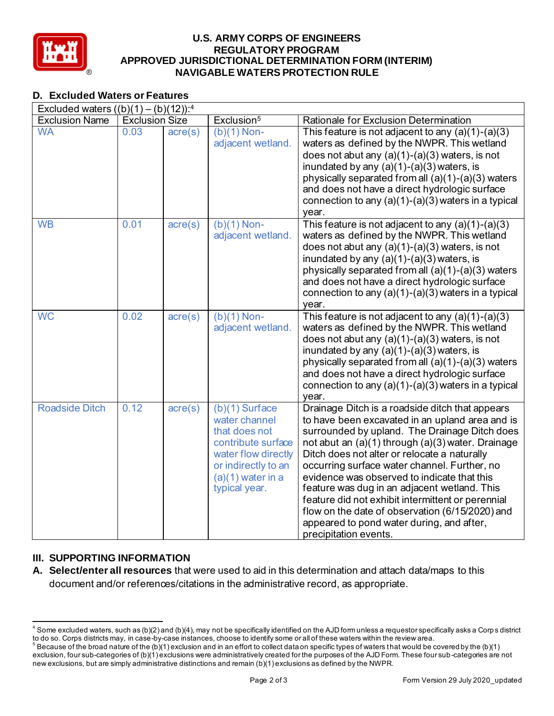

### **U.S. ARMY CORPS OF ENGINEERS REGULATORY PROGRAM APPROVED JURISDICTIONAL DETERMINATION FORM (INTERIM) NAVIGABLE WATERS PROTECTION RULE**

# **D. Excluded Waters or Features**

| Excluded waters $((b)(1) - (b)(12))^{-4}$ |                       |                  |                                    |                                                                                                    |
|-------------------------------------------|-----------------------|------------------|------------------------------------|----------------------------------------------------------------------------------------------------|
| <b>Exclusion Name</b>                     | <b>Exclusion Size</b> |                  | Exclusion <sup>5</sup>             | Rationale for Exclusion Determination                                                              |
| <b>WA</b>                                 | 0.03                  | $\arccos$        | $(b)(1)$ Non-                      | This feature is not adjacent to any $(a)(1)-(a)(3)$                                                |
|                                           |                       |                  | adjacent wetland.                  | waters as defined by the NWPR. This wetland                                                        |
|                                           |                       |                  |                                    | does not abut any $(a)(1)-(a)(3)$ waters, is not                                                   |
|                                           |                       |                  |                                    | inundated by any $(a)(1)-(a)(3)$ waters, is                                                        |
|                                           |                       |                  |                                    | physically separated from all (a)(1)-(a)(3) waters                                                 |
|                                           |                       |                  |                                    | and does not have a direct hydrologic surface                                                      |
|                                           |                       |                  |                                    | connection to any $(a)(1)-(a)(3)$ waters in a typical                                              |
| <b>WB</b>                                 | 0.01                  |                  |                                    | year.                                                                                              |
|                                           |                       | $\text{acre}(s)$ | $(b)(1)$ Non-<br>adjacent wetland. | This feature is not adjacent to any $(a)(1)-(a)(3)$<br>waters as defined by the NWPR. This wetland |
|                                           |                       |                  |                                    | does not abut any $(a)(1)-(a)(3)$ waters, is not                                                   |
|                                           |                       |                  |                                    | inundated by any (a)(1)-(a)(3) waters, is                                                          |
|                                           |                       |                  |                                    | physically separated from all (a)(1)-(a)(3) waters                                                 |
|                                           |                       |                  |                                    | and does not have a direct hydrologic surface                                                      |
|                                           |                       |                  |                                    | connection to any $(a)(1)-(a)(3)$ waters in a typical                                              |
|                                           |                       |                  |                                    | year.                                                                                              |
| <b>WC</b>                                 | 0.02                  | $\text{acre}(s)$ | $(b)(1)$ Non-                      | This feature is not adjacent to any $(a)(1)-(a)(3)$                                                |
|                                           |                       |                  | adjacent wetland.                  | waters as defined by the NWPR. This wetland                                                        |
|                                           |                       |                  |                                    | does not abut any $(a)(1)-(a)(3)$ waters, is not                                                   |
|                                           |                       |                  |                                    | inundated by any $(a)(1)-(a)(3)$ waters, is                                                        |
|                                           |                       |                  |                                    | physically separated from all (a)(1)-(a)(3) waters                                                 |
|                                           |                       |                  |                                    | and does not have a direct hydrologic surface                                                      |
|                                           |                       |                  |                                    | connection to any $(a)(1)-(a)(3)$ waters in a typical<br>year.                                     |
| <b>Roadside Ditch</b>                     | 0.12                  | $\text{acre}(s)$ | $(b)(1)$ Surface                   | Drainage Ditch is a roadside ditch that appears                                                    |
|                                           |                       |                  | water channel                      | to have been excavated in an upland area and is                                                    |
|                                           |                       |                  | that does not                      | surrounded by upland. The Drainage Ditch does                                                      |
|                                           |                       |                  | contribute surface                 | not abut an (a)(1) through (a)(3) water. Drainage                                                  |
|                                           |                       |                  | water flow directly                | Ditch does not alter or relocate a naturally                                                       |
|                                           |                       |                  | or indirectly to an                | occurring surface water channel. Further, no                                                       |
|                                           |                       |                  | $(a)(1)$ water in a                | evidence was observed to indicate that this                                                        |
|                                           |                       |                  | typical year.                      | feature was dug in an adjacent wetland. This                                                       |
|                                           |                       |                  |                                    | feature did not exhibit intermittent or perennial                                                  |
|                                           |                       |                  |                                    | flow on the date of observation (6/15/2020) and                                                    |
|                                           |                       |                  |                                    | appeared to pond water during, and after,                                                          |
|                                           |                       |                  |                                    | precipitation events.                                                                              |

# **III. SUPPORTING INFORMATION**

**A. Select/enter all resources** that were used to aid in this determination and attach data/maps to this document and/or references/citations in the administrative record, as appropriate.

 $4$  Some excluded waters, such as (b)(2) and (b)(4), may not be specifically identified on the AJD form unless a requestor specifically asks a Corp s district to do so. Corps districts may, in case-by-case instances, choose to identify some or all of these waters within the review area.

 $^5$  Because of the broad nature of the (b)(1) exclusion and in an effort to collect data on specific types of waters that would be covered by the (b)(1) exclusion, four sub-categories of (b)(1) exclusions were administratively created for the purposes of the AJD Form. These four sub -categories are not new exclusions, but are simply administrative distinctions and remain (b)(1) exclusions as defined by the NWPR.